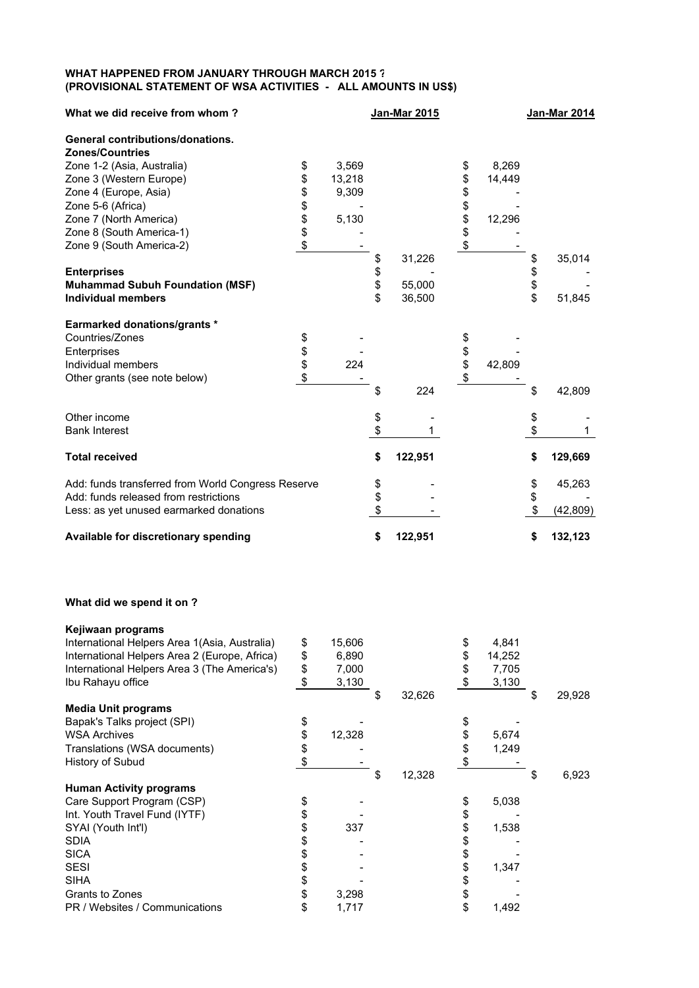## **WHAT HAPPENED FROM JANUARY THROUGH MARCH 2015 ? (PROVISIONAL STATEMENT OF WSA ACTIVITIES - ALL AMOUNTS IN US\$)**

| What we did receive from whom?                     |          |        |          | <b>Jan-Mar 2015</b> |          |        |          | <b>Jan-Mar 2014</b> |
|----------------------------------------------------|----------|--------|----------|---------------------|----------|--------|----------|---------------------|
| <b>General contributions/donations.</b>            |          |        |          |                     |          |        |          |                     |
| <b>Zones/Countries</b>                             |          |        |          |                     |          |        |          |                     |
| Zone 1-2 (Asia, Australia)                         | \$       | 3,569  |          |                     | \$       | 8,269  |          |                     |
| Zone 3 (Western Europe)                            | \$       | 13,218 |          |                     | \$       | 14,449 |          |                     |
| Zone 4 (Europe, Asia)                              | \$       | 9,309  |          |                     | \$       |        |          |                     |
| Zone 5-6 (Africa)                                  |          |        |          |                     |          |        |          |                     |
| Zone 7 (North America)                             | \$\$     | 5,130  |          |                     | \$\$\$   | 12,296 |          |                     |
| Zone 8 (South America-1)                           |          |        |          |                     |          |        |          |                     |
| Zone 9 (South America-2)                           | \$       |        |          |                     |          |        |          |                     |
|                                                    |          |        | \$       | 31,226              |          |        | \$       | 35,014              |
| <b>Enterprises</b>                                 |          |        |          |                     |          |        |          |                     |
| <b>Muhammad Subuh Foundation (MSF)</b>             |          |        | \$       | 55,000              |          |        | \$<br>\$ |                     |
| <b>Individual members</b>                          |          |        | \$       | 36,500              |          |        |          | 51,845              |
| <b>Earmarked donations/grants *</b>                |          |        |          |                     |          |        |          |                     |
| Countries/Zones                                    |          |        |          |                     |          |        |          |                     |
| Enterprises                                        | \$<br>\$ |        |          |                     | \$<br>\$ |        |          |                     |
| Individual members                                 |          | 224    |          |                     |          | 42,809 |          |                     |
| Other grants (see note below)                      | \$       |        |          |                     | \$       |        |          |                     |
|                                                    |          |        | \$       | 224                 |          |        | \$       | 42,809              |
| Other income                                       |          |        | \$       |                     |          |        | \$       |                     |
| <b>Bank Interest</b>                               |          |        | \$       |                     |          |        | \$       |                     |
| <b>Total received</b>                              |          |        | \$       | 122,951             |          |        | \$       | 129,669             |
| Add: funds transferred from World Congress Reserve |          |        |          |                     |          |        | \$       | 45,263              |
| Add: funds released from restrictions              |          |        | \$<br>\$ |                     |          |        | \$       |                     |
| Less: as yet unused earmarked donations            |          |        | \$       |                     |          |        | \$       | (42, 809)           |
| Available for discretionary spending               |          |        | \$       | 122,951             |          |        | \$       | 132,123             |

## **What did we spend it on ?**

| Kejiwaan programs                             |              |              |              |    |        |
|-----------------------------------------------|--------------|--------------|--------------|----|--------|
| International Helpers Area 1(Asia, Australia) | \$<br>15,606 |              | \$<br>4,841  |    |        |
| International Helpers Area 2 (Europe, Africa) | \$<br>6,890  |              | \$<br>14,252 |    |        |
| International Helpers Area 3 (The America's)  | \$<br>7,000  |              | \$<br>7,705  |    |        |
| Ibu Rahayu office                             | \$<br>3,130  |              | \$<br>3,130  |    |        |
|                                               |              | \$<br>32,626 |              | \$ | 29,928 |
| <b>Media Unit programs</b>                    |              |              |              |    |        |
| Bapak's Talks project (SPI)                   | \$           |              |              |    |        |
| <b>WSA Archives</b>                           | \$<br>12,328 |              | \$<br>5,674  |    |        |
| Translations (WSA documents)                  | \$           |              | \$<br>1,249  |    |        |
| History of Subud                              | \$           |              |              |    |        |
|                                               |              | \$<br>12,328 |              | S  | 6,923  |
| <b>Human Activity programs</b>                |              |              |              |    |        |
| Care Support Program (CSP)                    | \$           |              | \$<br>5,038  |    |        |
| Int. Youth Travel Fund (IYTF)                 | \$           |              | \$           |    |        |
| SYAI (Youth Int'l)                            | \$<br>337    |              | \$<br>1,538  |    |        |
| <b>SDIA</b>                                   | \$           |              | \$           |    |        |
| <b>SICA</b>                                   |              |              | \$           |    |        |
| <b>SESI</b>                                   |              |              | \$<br>1,347  |    |        |
| SIHA                                          | \$           |              | \$           |    |        |
| Grants to Zones                               | \$<br>3,298  |              | \$           |    |        |
| PR / Websites / Communications                | \$<br>1,717  |              | \$<br>1,492  |    |        |
|                                               |              |              |              |    |        |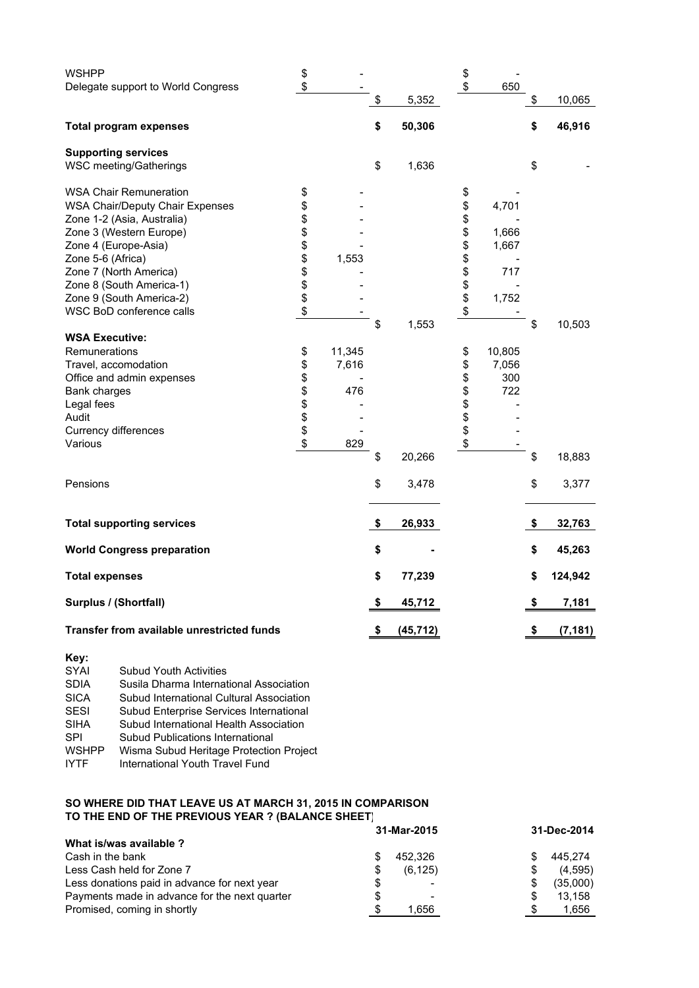| <b>WSHPP</b>                               | \$       |        |                 | \$       |        |                |
|--------------------------------------------|----------|--------|-----------------|----------|--------|----------------|
| Delegate support to World Congress         | \$       |        |                 | \$       | 650    |                |
|                                            |          |        | \$<br>5,352     |          |        | \$<br>10,065   |
| <b>Total program expenses</b>              |          |        | \$<br>50,306    |          |        | \$<br>46,916   |
| <b>Supporting services</b>                 |          |        |                 |          |        |                |
| WSC meeting/Gatherings                     |          |        | \$<br>1,636     |          |        | \$             |
| <b>WSA Chair Remuneration</b>              | \$       |        |                 | \$       |        |                |
| <b>WSA Chair/Deputy Chair Expenses</b>     | \$       |        |                 | \$       | 4,701  |                |
| Zone 1-2 (Asia, Australia)                 | \$       |        |                 | \$       |        |                |
| Zone 3 (Western Europe)                    |          |        |                 | \$       | 1,666  |                |
| Zone 4 (Europe-Asia)                       | \$       |        |                 | \$       | 1,667  |                |
| Zone 5-6 (Africa)                          | \$       | 1,553  |                 | \$       |        |                |
| Zone 7 (North America)                     |          |        |                 |          | 717    |                |
| Zone 8 (South America-1)                   | \$<br>\$ |        |                 | \$\$     |        |                |
| Zone 9 (South America-2)                   | \$       |        |                 |          | 1,752  |                |
| WSC BoD conference calls                   | \$       |        |                 | \$       |        |                |
|                                            |          |        | \$<br>1,553     |          |        | \$<br>10,503   |
| <b>WSA Executive:</b>                      |          |        |                 |          |        |                |
| Remunerations                              | \$       | 11,345 |                 | \$       | 10,805 |                |
| Travel, accomodation                       | \$       | 7,616  |                 | \$       | 7,056  |                |
| Office and admin expenses                  | \$       |        |                 | \$       | 300    |                |
| Bank charges                               | \$       | 476    |                 | \$       | 722    |                |
| Legal fees                                 |          |        |                 |          |        |                |
| Audit                                      | \$<br>\$ |        |                 | \$<br>\$ |        |                |
| Currency differences                       | \$       |        |                 | \$       |        |                |
| Various                                    | \$       | 829    |                 | \$       |        |                |
|                                            |          |        | \$<br>20,266    |          |        | \$<br>18,883   |
| Pensions                                   |          |        | \$<br>3,478     |          |        | \$<br>3,377    |
| <b>Total supporting services</b>           |          |        | \$<br>26,933    |          |        | \$<br>32,763   |
| <b>World Congress preparation</b>          |          |        | \$              |          |        | \$<br>45,263   |
| <b>Total expenses</b>                      |          |        | \$<br>77,239    |          |        | \$<br>124,942  |
| Surplus / (Shortfall)                      |          |        | \$<br>45,712    |          |        | \$<br>7,181    |
| Transfer from available unrestricted funds |          |        | \$<br>(45, 712) |          |        | \$<br>(7, 181) |

| Key:         |                                          |
|--------------|------------------------------------------|
| <b>SYAI</b>  | <b>Subud Youth Activities</b>            |
| <b>SDIA</b>  | Susila Dharma International Association  |
| <b>SICA</b>  | Subud International Cultural Association |
| <b>SESI</b>  | Subud Enterprise Services International  |
| <b>SIHA</b>  | Subud International Health Association   |
| <b>SPI</b>   | Subud Publications International         |
| <b>WSHPP</b> | Wisma Subud Heritage Protection Project  |
| IYTF         | International Youth Travel Fund          |
|              |                                          |

## **SO WHERE DID THAT LEAVE US AT MARCH 31, 2015 IN COMPARISON TO THE END OF THE PREVIOUS YEAR ? (BALANCE SHEET)**

|                                               | 31-Mar-2015   | 31-Dec-2014 |
|-----------------------------------------------|---------------|-------------|
| What is/was available ?                       |               |             |
| Cash in the bank                              | 452.326       | 445.274     |
| Less Cash held for Zone 7                     | (6, 125)<br>S | (4,595)     |
| Less donations paid in advance for next year  | S             | (35,000)    |
| Payments made in advance for the next quarter | \$<br>۰       | 13.158      |
| Promised, coming in shortly                   | 1.656<br>S    | 1,656       |